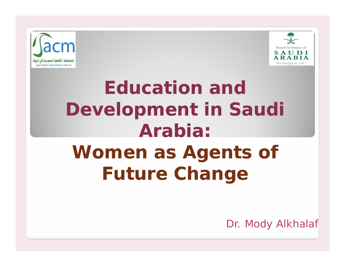



# **Education** and **Develo pment in Saudi Arabia: Women as Agents of Future Change**

Dr. Mody Alkhala f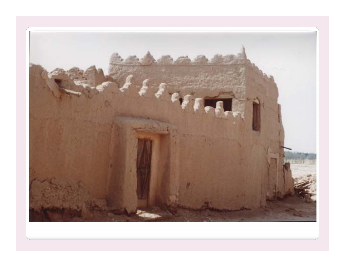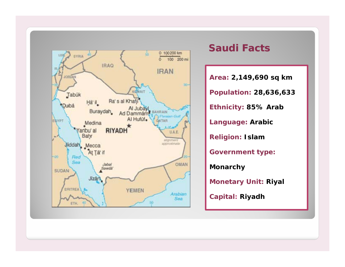

#### **Saudi Facts**

**Area: 2,149,690 sq km Population: 28,636,633 Ethnicity: 85% Arab Language: Arabic Religion: Islam G t t Government type: Monarchy Monetary Unit: Riyal Capital: Riyadh**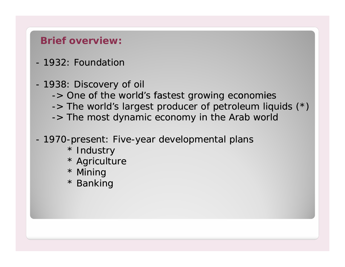#### **Brief overview:**

- 1932: Foundation
- - 1938: Discovery of oil
	- -> One of the world's fastest growing economies
	- $\rightarrow$  The world's largest producer of petroleum liquids (\*)
	- -> The most dynamic economy in the Arab world
- -1970-present: Five-year developmental plans
	- \* Industry
	- \* Agriculture
	- \* Mining
	- \* Banking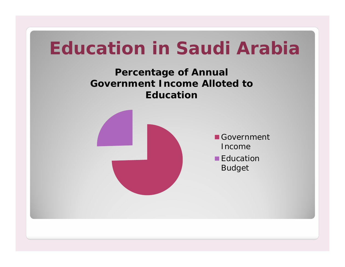## **Education in Saudi Arabia**

**Percentage of Annual Government Income Alloted to Education**



Government Income **Education** Budget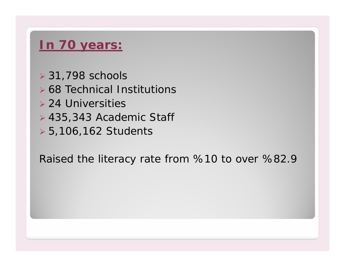### **ln 70 years:**

¾ 31,798 schools

- ¾ 68 Technical Institutions
- ¾ 24 Universities
- $\geq$  435,343 Academic Staff
- ¾ 5,106,162 Students

Raised the literacy rate from %10 to over %82.9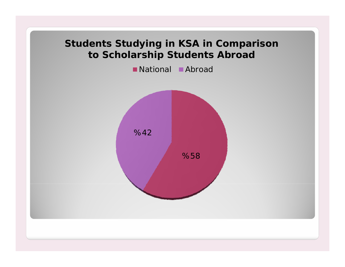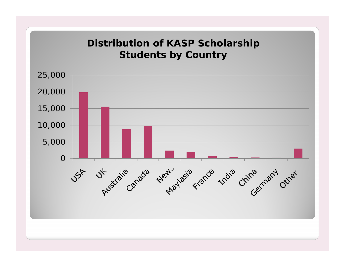#### **Distribution of KASP Scholarship Students by Country**

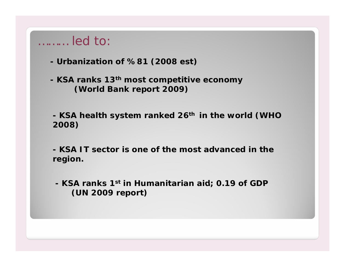### ……… led to:

- **- Urbanization of %81 (2008 est)**
- **KSA ranks 13th most comp y etitive economy (World Bank report 2009)**

 **KSA health system ranked 26th in the world (WHO 2008)**

**- KSA IT sector is one of the most advanced in the region.**

**- KSA ranks 1st in Humanitarian aid; 0 19 of GDP 0.19 of (UN 2009 report)**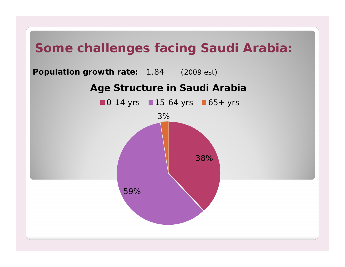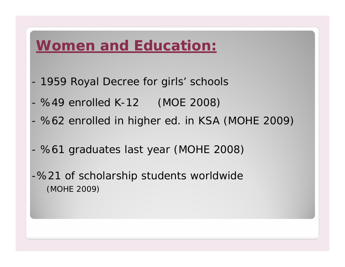## **Women and Education:**

- -- 1959 Royal Decree for girls' schools
- -%49 enrolled K-12 (MOE 2008)
- -%62 enrolled in higher ed. in KSA (MOHE 2009)
- -%61 graduates last year (MOHE 2008)
- -%21 of scholarship students worldwide (MOHE 2009)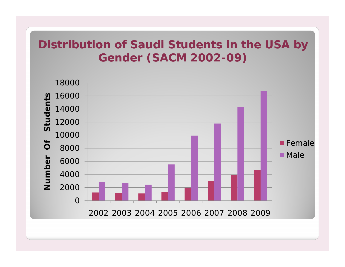#### **Distribution of Saudi Students in the USA b y Gender (SACM 2002 2002-09)**

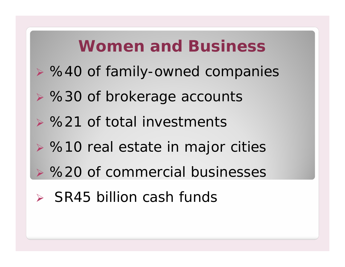## **Women and Business**

- ¾ %40 of family-owned companies
- ¾ %30 of brokerage accounts
- $\triangleright$  %21 of total investments
- ¾ %10 real estate in major cities
- ¾ %20 of commercial businesses
- ¾ SR45 billion cash funds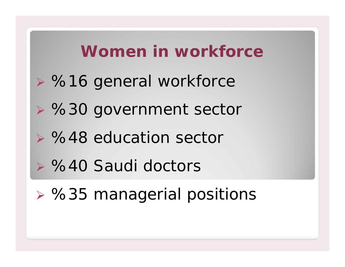## **Women in workforce**

- ¾ %16 general workforce
- ¾ %30 government secto r
- ¾ %48 education sector
- ¾ %40 Saudi doctors
- ¾ %35 managerial positions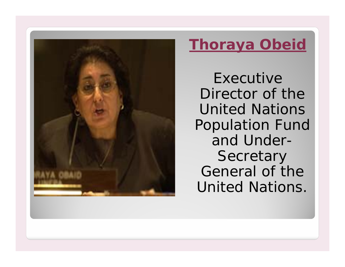

## **Thoraya Obeid**

Executive Director of the United Nations Population Fund and Under-**Secretary** General of the United Nations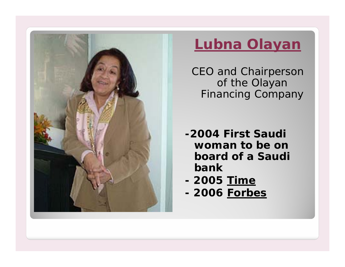

## <u>**Lubna Olayar**</u>

CEO and Chairperson of the Olayan Financing Company

- **-2004 First Saudi woman to be on board of a Saudi bank**
- **- 2005 Time**
- **- 2006 Forbes**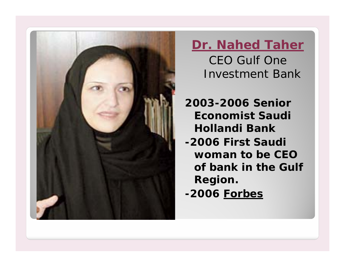

### **Dr. Nahed Taher**

CEO Gulf One Investment Bank

- **2003-2006 Senior Economist Saudi Hollandi Bank**
- **-2006 First Saudi woman to be CEO of bank in the Gulf Region.**
- **-2006 Forbes**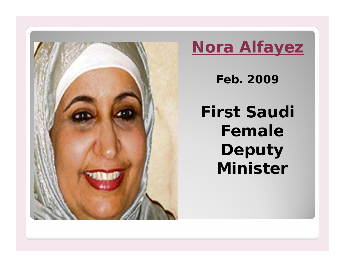

## **Nora Alfayez**

**Feb. 2009**

**First Saudi Female Deputy Minister**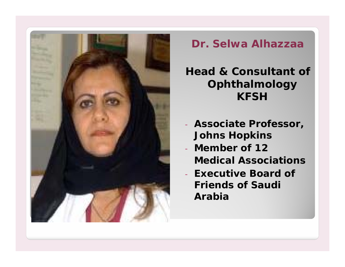

#### **Dr. Selwa Alhazzaa**

### **Head & Consultant of Ophthalmology KFSH**

- **Associate Professor, Johns Hopkins**
- - **Member of 12 Medical Associations**
- **Executive Board of Friends of Saudi Arabia**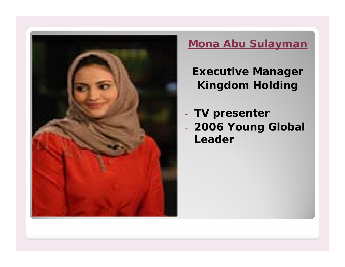

#### **Mona Abu Sula yman**

**Executive Manager**   $\boldsymbol{\mathsf{K}}$  <code>ingdom Holding</code>

- **TV presenter** - **2006 Young Global Leader**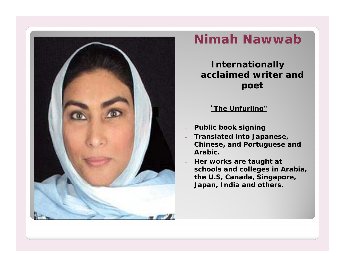

### **Nimah Nawwab**

**Internationally acclaimed writer and poe t**

#### "**The Unfurling "**

- **Public book signing**
- **Translated into Japanese, Chinese, and Portuguese and A bi ra c.**
- **Her works are taught at schools and colleges in Arabia, the U.S, Canada, Singapore, Japan India and others Japan, others.**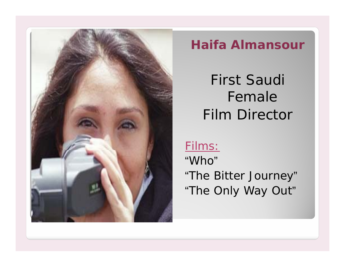

### **Haifa Almansour**

First Saudi Female Film Director

### Films:

"Who""The Bitter Journey" "The Only Way Out"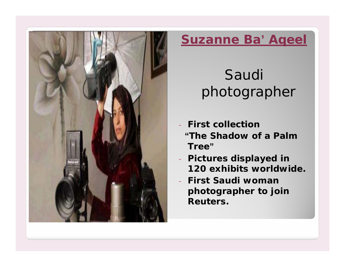

### **Suzanne Ba' Aqeel**

## Saudi photographe r

- - **First collection "The Shadow of a Palm Tree"**
- - **Pictures displayed in 120 exhibits worldwide.**
- - **Firs Saud o a t Saudi wman photographer to join Reuters.**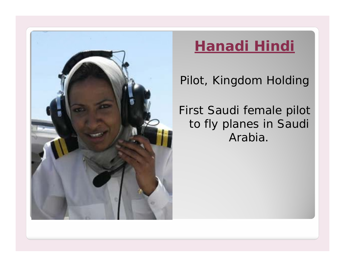

## **Hanadi Hindi**

Pilot, Kingdom Holding

First Saudi female pilot to fly planes in Saudi Arabia.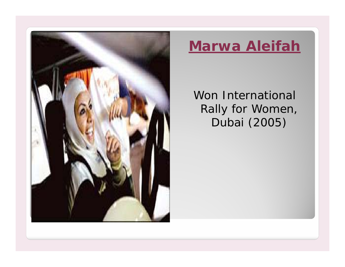

### **Marwa Aleifah**

Won International Rally for Women, Dubai (2005)